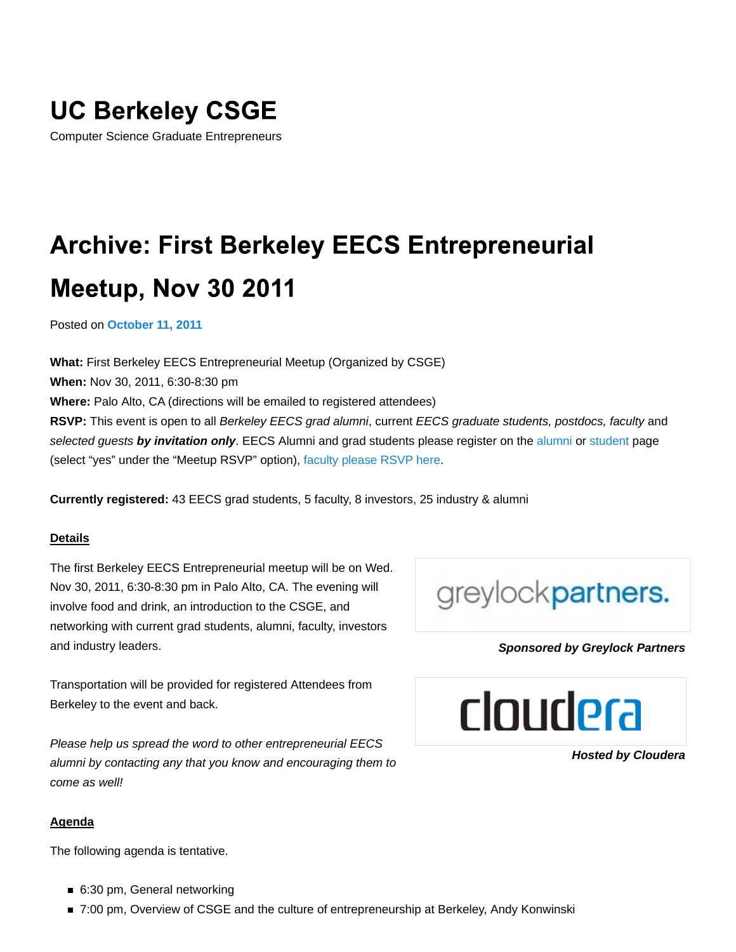## **UC Berkeley CSGE**

Computer Science Graduate Entrepreneurs

# **Archive: First Berkeley EECS Entrepreneurial Meetup, Nov 30 2011**

Posted on **October 11, 2011**

**What:** First Berkeley EECS Entrepreneurial Meetup (Organized by CSGE) **When:** Nov 30, 2011, 6:30-8:30 pm **Where:** Palo Alto, CA (directions will be emailed to registered attendees) **RSVP:** This event is open to all *Berkeley EECS grad alumni*, current *EECS graduate students, postdocs, faculty* and *selected guests by invitation only*. EECS Alumni and grad students please register on the alumni or student page (select "yes" under the "Meetup RSVP" option), faculty please RSVP here.

**Currently registered:** 43 EECS grad students, 5 faculty, 8 investors, 25 industry & alumni

### **Details**

The first Berkeley EECS Entrepreneurial meetup will be on Wed. Nov 30, 2011, 6:30-8:30 pm in Palo Alto, CA. The evening will involve food and drink, an introduction to the CSGE, and networking with current grad students, alumni, faculty, investors and industry leaders.

Transportation will be provided for registered Attendees from Berkeley to the event and back.

*Please help us spread the word to other entrepreneurial EECS alumni by contacting any that you know and encouraging them to come as well!*

#### **Agenda**

The following agenda is tentative.

- 6:30 pm, General networking
- 7:00 pm, Overview of CSGE and the culture of entrepreneurship at Berkeley, Andy Konwinski



### *Sponsored by Greylock Partners*



*Hosted by Cloudera*